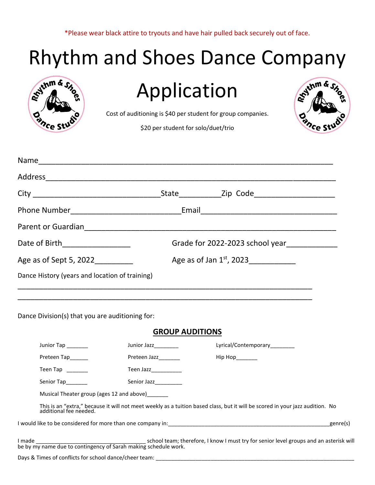\*Please wear black attire to tryouts and have hair pulled back securely out of face.

## Rhythm and Shoes Dance Company

| Stythm & Sho<br>O                                                 | Application<br>Cost of auditioning is \$40 per student for group companies.<br>\$20 per student for solo/duet/trio                                                          | gythm &   |  |  |
|-------------------------------------------------------------------|-----------------------------------------------------------------------------------------------------------------------------------------------------------------------------|-----------|--|--|
|                                                                   |                                                                                                                                                                             |           |  |  |
|                                                                   |                                                                                                                                                                             |           |  |  |
|                                                                   |                                                                                                                                                                             |           |  |  |
|                                                                   |                                                                                                                                                                             |           |  |  |
|                                                                   |                                                                                                                                                                             |           |  |  |
|                                                                   |                                                                                                                                                                             |           |  |  |
| Date of Birth___________________                                  | Grade for 2022-2023 school year_____________                                                                                                                                |           |  |  |
| Age as of Jan $1^{st}$ , 2023<br>Age as of Sept 5, 2022__________ |                                                                                                                                                                             |           |  |  |
| Dance History (years and location of training)                    |                                                                                                                                                                             |           |  |  |
| Dance Division(s) that you are auditioning for:                   |                                                                                                                                                                             |           |  |  |
|                                                                   | <b>GROUP AUDITIONS</b>                                                                                                                                                      |           |  |  |
| Junior Tap ______                                                 | Junior Jazz___________ Lyrical/Contemporary________                                                                                                                         |           |  |  |
| Preteen Tap_____                                                  | Preteen Jazz_______<br>Hip Hop_______                                                                                                                                       |           |  |  |
| Teen Tap Internal Teen Tap                                        | Teen Jazz___________                                                                                                                                                        |           |  |  |
| Senior Tap_______                                                 | Senior Jazz__________                                                                                                                                                       |           |  |  |
|                                                                   | Musical Theater group (ages 12 and above)_______                                                                                                                            |           |  |  |
|                                                                   | This is an "extra," because it will not meet weekly as a tuition based class, but it will be scored in your jazz audition. No additional fee needed.                        |           |  |  |
|                                                                   |                                                                                                                                                                             | _genre(s) |  |  |
|                                                                   | I made <u>The school team;</u> therefore, I know I must try for senior level groups and an asterisk will<br>be by my name due to contingency of Sarah making schedule work. |           |  |  |
|                                                                   |                                                                                                                                                                             |           |  |  |